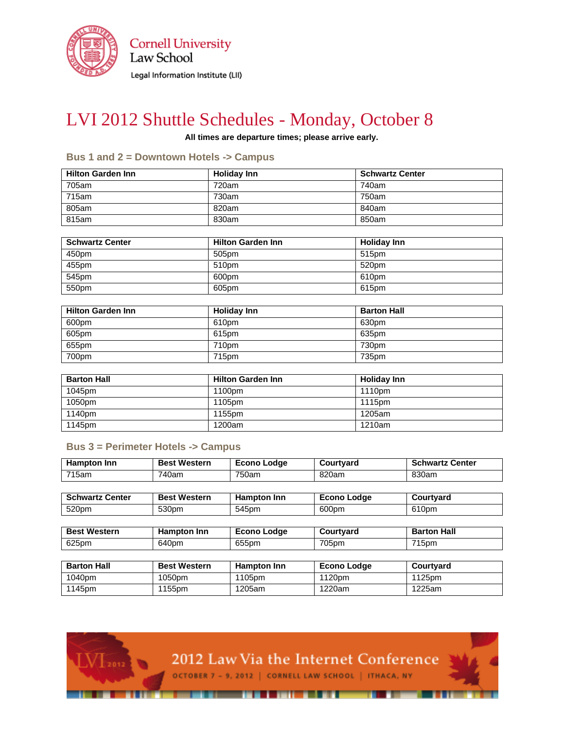

**Cornell University** Law School Legal Information Institute (LII)

# LVI 2012 Shuttle Schedules - Monday, October 8

**All times are departure times; please arrive early.**

#### **Bus 1 and 2 = Downtown Hotels -> Campus**

| <b>Hilton Garden Inn</b> | <b>Holiday Inn</b> | <b>Schwartz Center</b> |
|--------------------------|--------------------|------------------------|
| 705am                    | 720am              | 740am                  |
| 715am                    | 730am              | 750am                  |
| 805am                    | 820am              | 840am                  |
| 815am                    | 830am              | 850am                  |

| <b>Schwartz Center</b> | <b>Hilton Garden Inn</b> | <b>Holiday Inn</b> |
|------------------------|--------------------------|--------------------|
| 450pm                  | 505pm                    | 515 <sub>pm</sub>  |
| 455pm                  | 510pm                    | 520pm              |
| 545pm                  | 600pm                    | 610pm              |
| 550pm                  | 605pm                    | 615pm              |

| <b>Hilton Garden Inn</b> | <b>Holidav Inn</b> | <b>Barton Hall</b> |
|--------------------------|--------------------|--------------------|
| 600pm                    | 610pm              | 630pm              |
| 605pm                    | 615pm              | 635pm              |
| 655pm                    | 710pm              | 730pm              |
| 700pm                    | 715pm              | 735pm              |

| <b>Barton Hall</b> | <b>Hilton Garden Inn</b> | <b>Holiday Inn</b> |
|--------------------|--------------------------|--------------------|
| 1045pm             | 1100pm                   | 1110pm             |
| 1050pm             | 1105pm                   | 1115pm             |
| 1140pm             | 1155pm                   | 1205am             |
| 1145pm             | 1200am                   | 1210am             |

### **Bus 3 = Perimeter Hotels -> Campus**

2012

| <b>Hampton Inn</b>     | <b>Best Western</b> | <b>Econo Lodge</b> | Courtyard          | <b>Schwartz Center</b> |
|------------------------|---------------------|--------------------|--------------------|------------------------|
| 715am                  | 740am               | 750am              | 820am              | 830am                  |
|                        |                     |                    |                    |                        |
| <b>Schwartz Center</b> | <b>Best Western</b> | <b>Hampton Inn</b> | <b>Econo Lodge</b> | Courtyard              |
| 520pm                  | 530pm               | 545pm              | 600pm              | 610pm                  |
|                        |                     |                    |                    |                        |
| <b>Best Western</b>    | <b>Hampton Inn</b>  | <b>Econo Lodge</b> | Courtyard          | <b>Barton Hall</b>     |
| 625pm                  | 640pm               | 655pm              | 705pm              | 715pm                  |
|                        |                     |                    |                    |                        |
| <b>Barton Hall</b>     | <b>Best Western</b> | Hampton Inn        | <b>Econo Lodge</b> | Courtyard              |
| 1040pm                 | 1050pm              | 1105pm             | 1120pm             | 1125pm                 |
| 1145pm                 | 1155pm              | 1205am             | 1220am             | 1225am                 |

2012 Law Via the Internet Conference



OCTOBER 7 - 9, 2012 | CORNELL LAW SCHOOL | ITHACA, NY